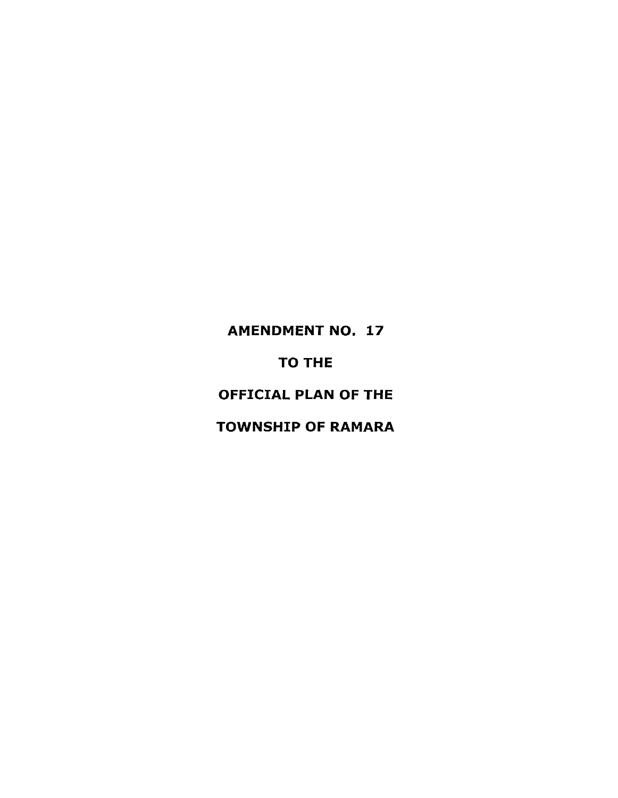# AMENDMENT NO. 17

# TO THE

# OFFICIAL PLAN OF THE

# TOWNSHIP OF RAMARA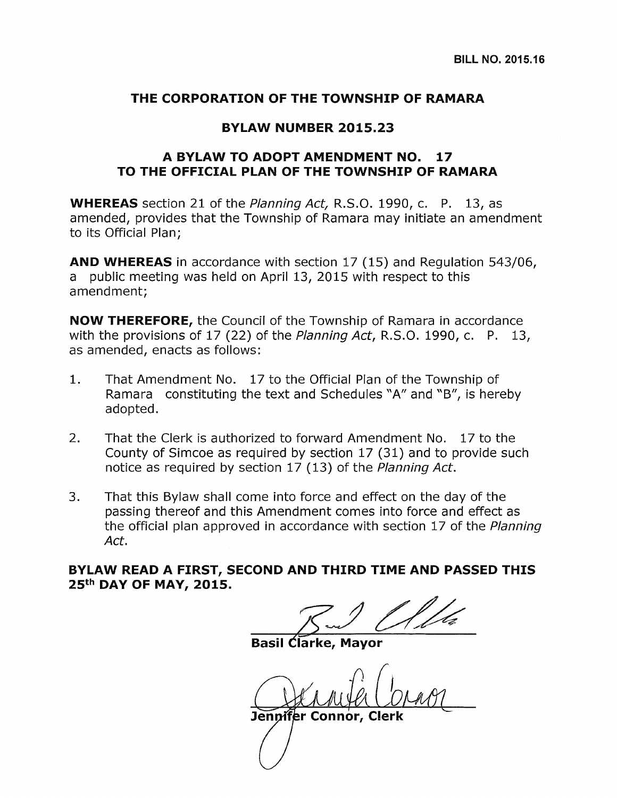## THE CORPORATION OF THE TOWNSHIP OF RAMARA

## BYLAW NUMBER 2015.23

## A BYLAW TO ADOPT AMENDMENT NO. 17 TO THE OFFICIAL PLAN OF THE TOWNSHIP OF RAMARA

**WHEREAS** section 21 of the *Planning Act*, R.S.O. 1990, c. P. 13, as amended, provides that the Township of Ramara may initiate an amendment to its Official Plan;

AND WHEREAS in accordance with section 17 (15) and Regulation 543/06, a public meeting was held on April 13, 2015 with respect to this amendment;

NOW THEREFORE, the Council of the Township of Ramara in accordance with the provisions of 17 (22) of the Planning Act, R.S.O. 1990, c. P. 13, as amended, enacts as follows:

- 1. That Amendment No. 17 to the Official Plan of the Township of Ramara constituting the text and Schedules "A" and "B", is hereby adopted.
- 2. That the Clerk is authorized to forward Amendment No. 17 to the County of Simcoe as required by section 17 (31) and to provide such notice as required by section 17 (13) of the Planning Act.
- 3. That this Bylaw shall come into force and effect on the day of the passing thereof and this Amendment comes into force and effect as the official plan approved in accordance with section 17 of the Planning Act.

BYLAW READ A FIRST, SECOND AND THIRD TIME AND PASSED THIS 25<sup>th</sup> DAY OF MAY, 2015.

Basil Clarke,

'er Connor, Clerk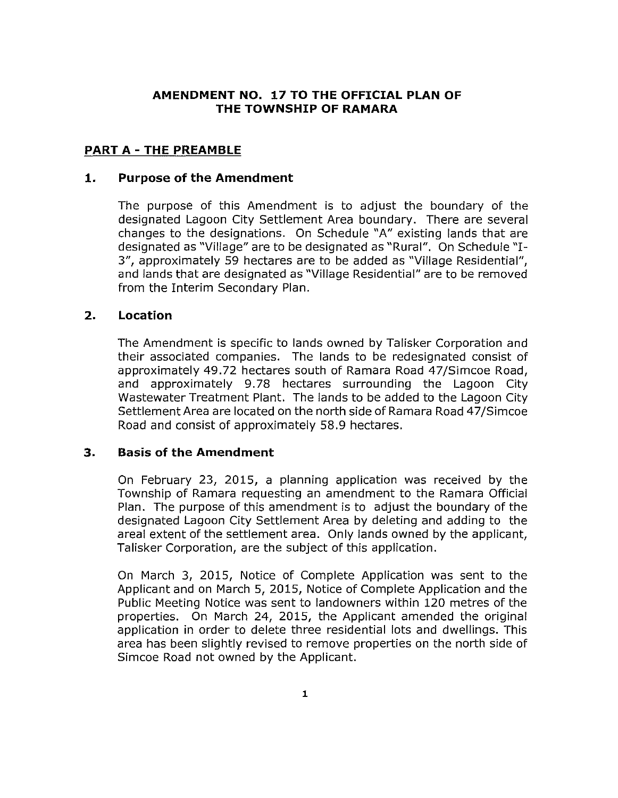## **AMENDMENT NO. 17 TO THE OFFICIAL PLAN OF THE TOWNSHIP OF RAMARA**

## **PART A - THE PREAMBLE**

## **1. Purpose of the Amendment**

The purpose of this Amendment is to adjust the boundary of the designated Lagoon City Settlement Area boundary. There are several changes to the designations. On Schedule "A" existing lands that are designated as "Village" are to be designated as "Rural". On Schedule "I-3", approximately 59 hectares are to be added as "Village Residential", and lands that are designated as "Village Residential" are to be removed from the Interim Secondary Plan.

## **2. Location**

The Amendment is specific to lands owned by Talisker Corporation and their associated companies. The lands to be redesignated consist of approximately 49.72 hectares south of Ramara Road 47/Simcoe Road, and approximately 9.78 hectares surrounding the Lagoon City Wastewater Treatment Plant. The lands to be added to the Lagoon City Settlement Area are located on the north side of Ramara Road 47jSimcoe Road and consist of approximately 58.9 hectares.

## **3. Basis of the Amendment**

On February 23, 2015, a planning application was received by the Township of Ramara requesting an amendment to the Ramara Official Plan. The purpose of this amendment is to adjust the boundary of the designated Lagoon City Settlement Area by deleting and adding to the areal extent of the settlement area. Only lands owned by the applicant, Talisker Corporation, are the subject of this application.

On March 3, 2015, Notice of Complete Application was sent to the Applicant and on March 5, 2015, Notice of Complete Application and the Public Meeting Notice was sent to landowners within 120 metres of the properties. On March 24, 2015, the Applicant amended the original application in order to delete three residential lots and dwellings. This area has been slightly revised to remove properties on the north side of Simcoe Road not owned by the Applicant.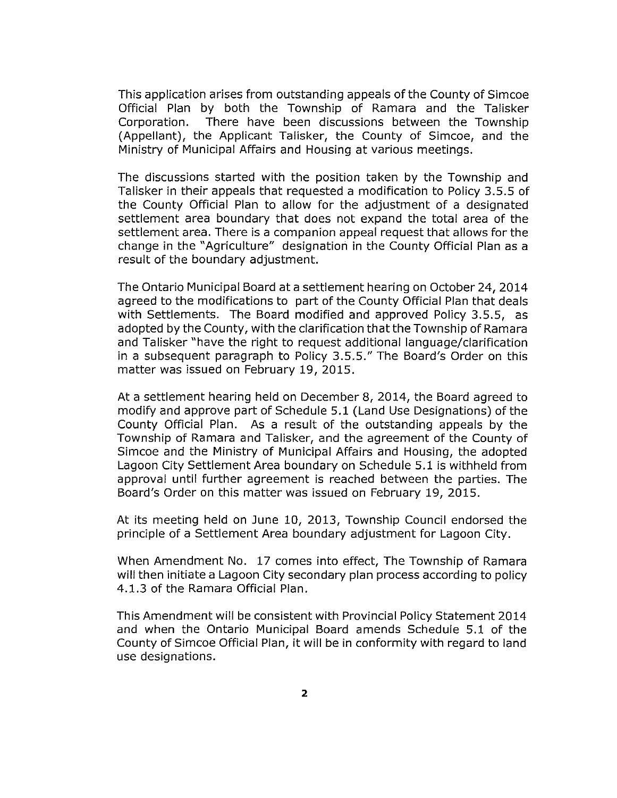This application arises from outstanding appeals of the County of Simcoe Official Plan by both the Township of Ramara and the Talisker Corporation. There have been discussions between the Township (Appellant), the Applicant Talisker, the County of Simcoe, and the Ministry of Municipal Affairs and Housing at various meetings.

The discussions started with the position taken by the Township and Talisker in their appeals that requested a modification to Policy 3.5.5 of the County Official Plan to allow for the adjustment of a designated settlement area boundary that does not expand the total area of the settlement area. There is a companion appeal request that allows for the change in the "Agriculture" designation in the County Official Plan as a result of the boundary adjustment.

The Ontario Municipal Board at a settlement hearing on October 24,2014 agreed to the modifications to part of the County Official Plan that deals with Settlements. The Board modified and approved Policy 3.5.5, as adopted by the County, with the clarification that the Township of Ramara and Talisker "have the right to request additional language/clarification in a subsequent paragraph to Policy 3.5.5." The Board's Order on this matter was issued on February 19, 2015.

At a settlement hearing held on December 8, 2014, the Board agreed to modify and approve part of Schedule 5.1 (Land Use Designations) of the County Official Plan. As a result of the outstanding appeals by the Township of Ramara and Talisker, and the agreement of the County of Simcoe and the Ministry of Municipal Affairs and Housing, the adopted Lagoon City Settlement Area boundary on Schedule 5.1 is withheld from approval until further agreement is reached between the parties. The Board's Order on this matter was issued on February 19, 2015.

At its meeting held on June 10, 2013, Township Council endorsed the principle of a Settlement Area boundary adjustment for Lagoon City.

When Amendment No. 17 comes into effect, The Township of Ramara will then initiate a Lagoon City secondary plan process according to policy 4.1.3 of the Ramara Official Plan.

This Amendment will be consistent with Provincial Policy Statement 2014 and when the Ontario Municipal Board amends Schedule 5.1 of the County of Simcoe Official Plan, it will be in conformity with regard to land use designations.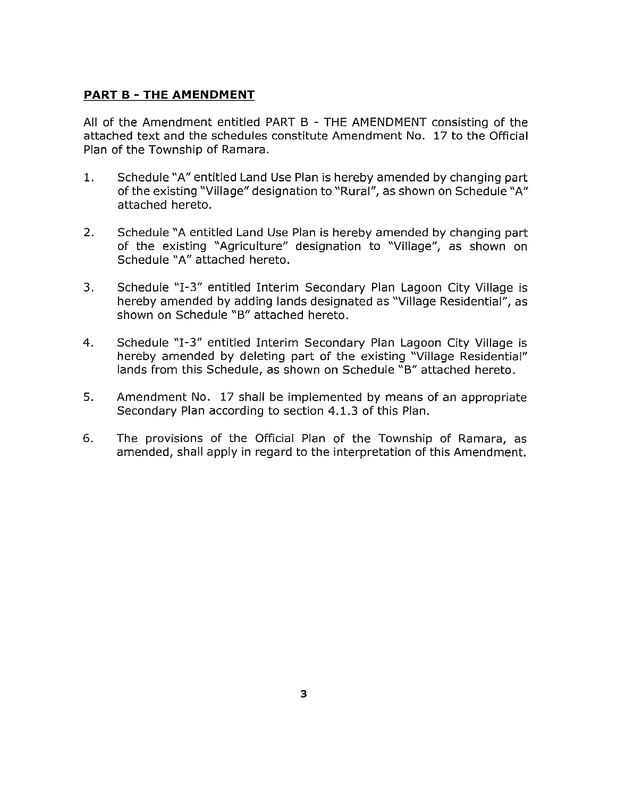## **PART** B - **THE AMENDMENT**

All of the Amendment entitled PART B - THE AMENDMENT consisting of the attached text and the schedules constitute Amendment No. 17 to the Official Plan of the Township of Ramara.

- 1. Schedule "A" entitled Land Use Plan is hereby amended by changing part of the existing "Village" designation to "Rural", as shown on Schedule "A" attached hereto.
- 2. Schedule "A entitled Land Use Plan is hereby amended by changing part of the existing "Agriculture" designation to "Village", as shown on Schedule "A" attached hereto.
- 3. Schedule "1-3" entitled Interim Secondary Plan Lagoon City Village is hereby amended by adding lands designated as "Village Residential", as shown on Schedule "B" attached hereto.
- 4. Schedule "1-3" entitled Interim Secondary Plan Lagoon City Village is hereby amended by deleting part of the existing "Village Residential" lands from this Schedule, as shown on Schedule "B" attached hereto.
- 5. Amendment No. 17 shall be implemented by means of an appropriate Secondary Plan according to section 4.1.3 of this Plan.
- 6. The provisions of the Official Plan of the Township of Ramara, as amended, shall apply in regard to the interpretation of this Amendment.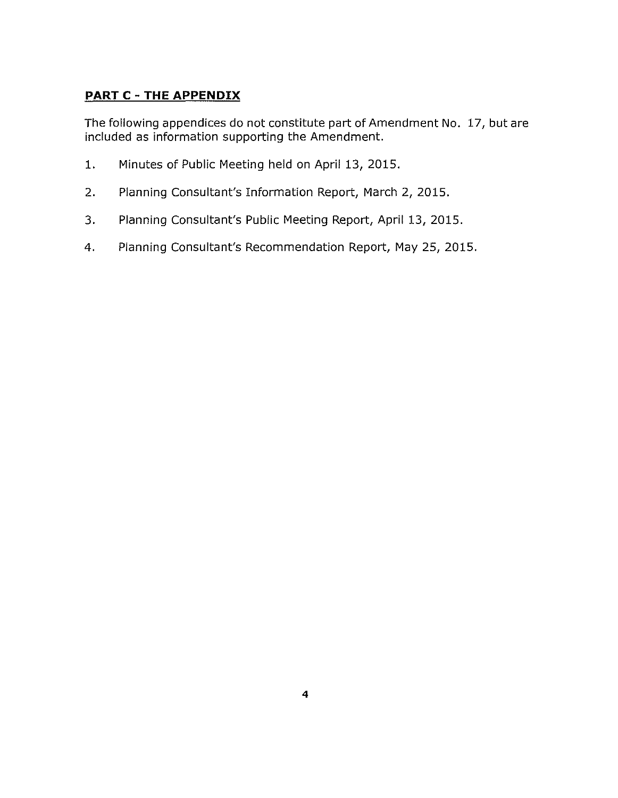# **PART** C - **THE APPENDIX**

The following appendices do not constitute part of Amendment No. 17, but are included as information supporting the Amendment.

- 1. Minutes of Public Meeting held on April 13, 2015.
- 2. Planning Consultant's Information Report, March 2, 2015.
- 3. Planning Consultant's Public Meeting Report, April 13, 2015.
- 4. Planning Consultant's Recommendation Report, May 25, 2015.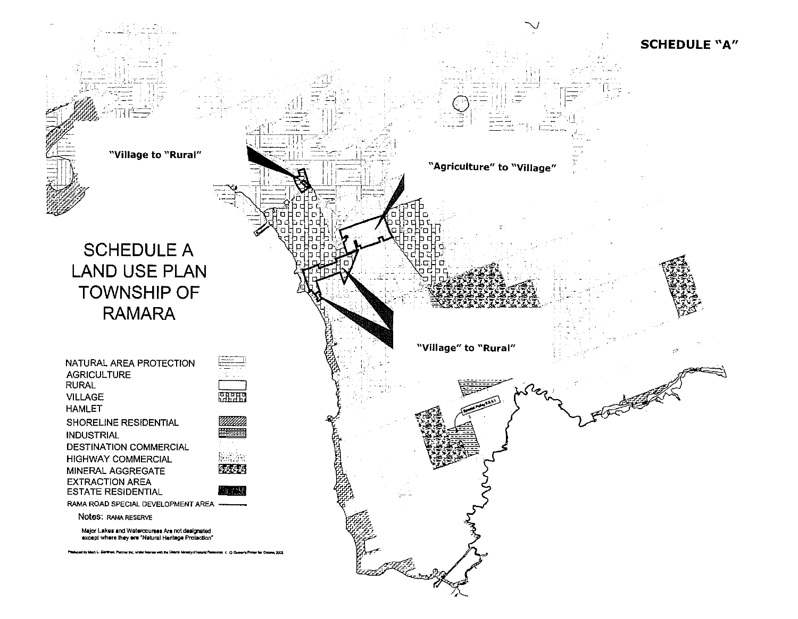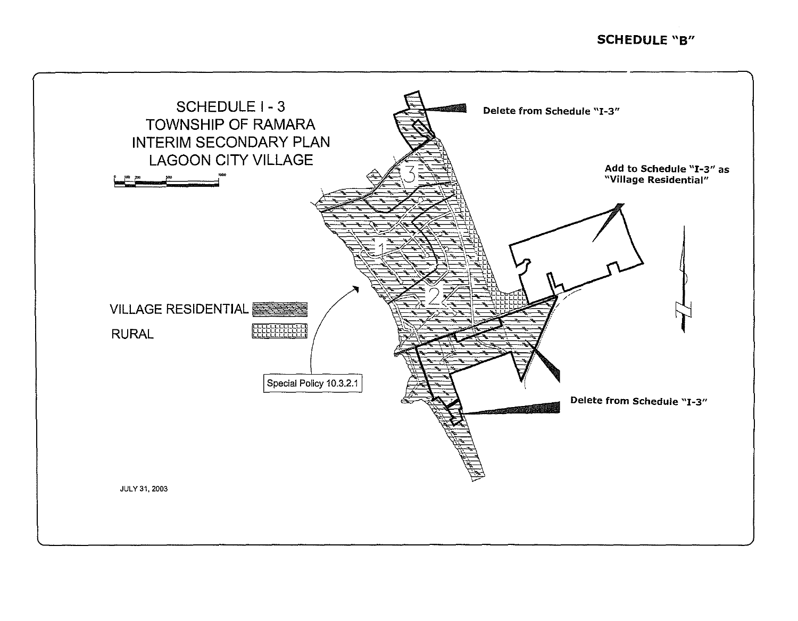## **SCHEDULE** "8"

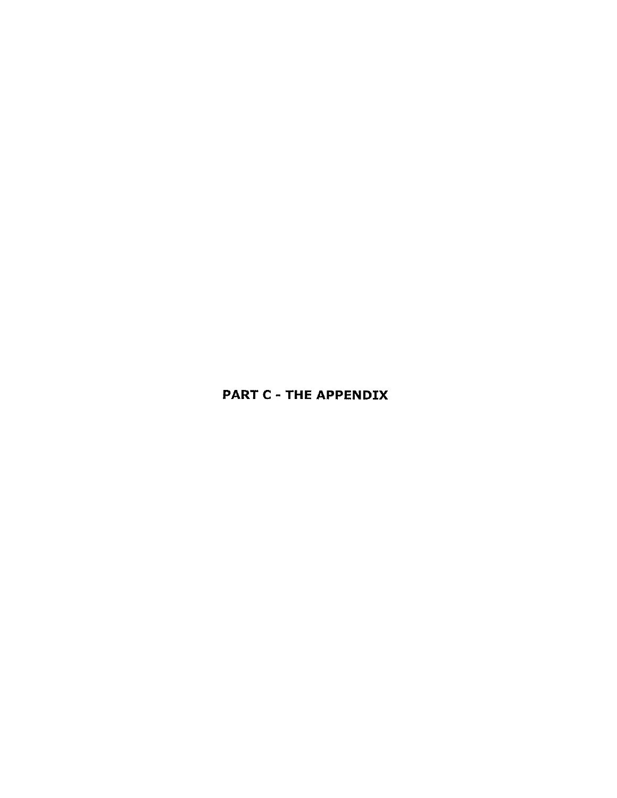# PART C - THE APPENDIX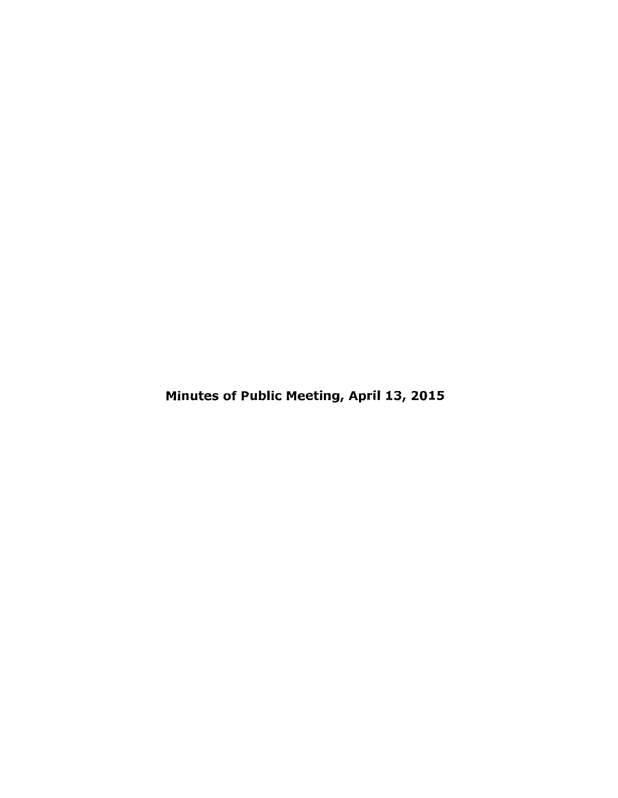Minutes of Public Meeting, April 13, 2015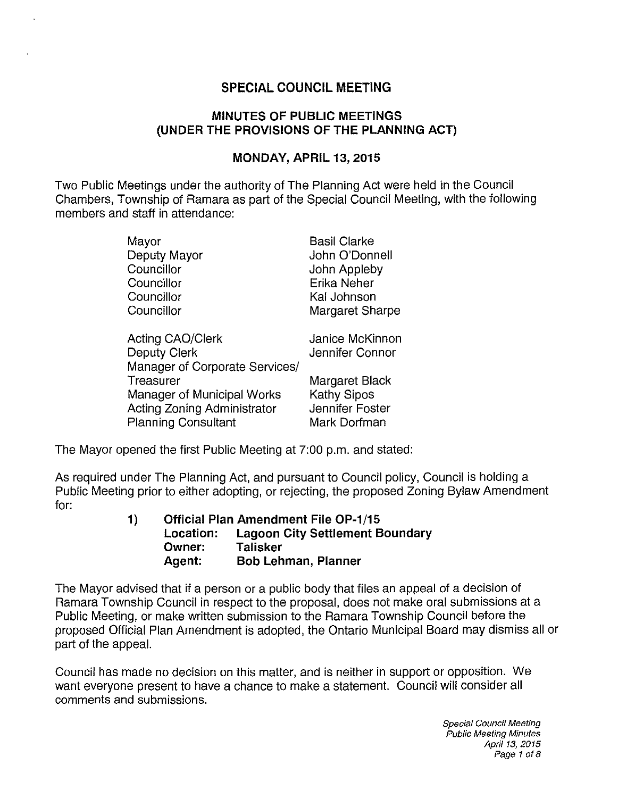# SPECIAL COUNCIL MEETING

## MINUTES OF PUBLIC MEETINGS (UNDER THE PROVISIONS OF THE PLANNING ACT)

## MONDAY, APRIL 13, 2015

Two Public Meetings under the authority of The Planning Act were held in the Council Chambers, Township of Ramara as part of the Special Council Meeting, with the following members and staff in attendance:

| John O'Donnell  |
|-----------------|
|                 |
|                 |
|                 |
| Margaret Sharpe |
|                 |
| Janice McKinnon |
| Jennifer Connor |
|                 |
| Margaret Black  |
|                 |
| Jennifer Foster |
|                 |
|                 |

The Mayor opened the first Public Meeting at 7:00 p.m. and stated:

As required under The Planning Act, and pursuant to Council policy, Council is holding a Public Meeting prior to either adopting, or rejecting, the proposed Zoning Bylaw Amendment for:

| $\overline{1}$ |           | <b>Official Plan Amendment File OP-1/15</b> |
|----------------|-----------|---------------------------------------------|
|                | Location: | <b>Lagoon City Settlement Boundary</b>      |
|                | Owner:    | <b>Talisker</b>                             |
|                | Agent:    | <b>Bob Lehman, Planner</b>                  |

The Mayor advised that if a person or a public body that files an appeal of a decision of Ramara Township Council in respect to the proposal, does not make oral submissions at a Public Meeting, or make written submission to the Ramara Township Council before the proposed Official Plan Amendment is adopted, the Ontario Municipal Board may dismiss all or part of the appeal.

Council has made no decision on this matter, and is neither in support or opposition. We want everyone present to have a chance to make a statement. Council will consider all comments and submissions.

> Special Council Meeting Public Meeting Minutes April 13. 2015 Page 1 of 8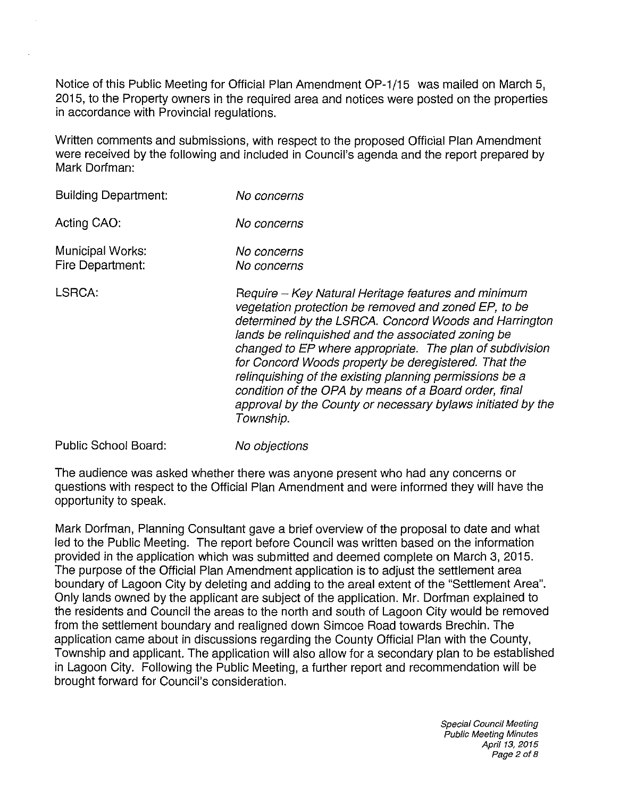Notice of this Public Meeting for Official Plan Amendment OP-1/15 was mailed on March 5, 2015, to the Property owners in the required area and notices were posted on the properties in accordance with Provincial regulations.

Written comments and submissions, with respect to the proposed Official Plan Amendment were received by the following and included in Council's agenda and the report prepared by Mark Dorfman:

| <b>Building Department:</b>          | No concerns                                                                                                                                                                                                                                                                                                                                                                                                                                                                                                                                    |
|--------------------------------------|------------------------------------------------------------------------------------------------------------------------------------------------------------------------------------------------------------------------------------------------------------------------------------------------------------------------------------------------------------------------------------------------------------------------------------------------------------------------------------------------------------------------------------------------|
| Acting CAO:                          | No concerns                                                                                                                                                                                                                                                                                                                                                                                                                                                                                                                                    |
| Municipal Works:<br>Fire Department: | No concerns<br>No concerns                                                                                                                                                                                                                                                                                                                                                                                                                                                                                                                     |
| LSRCA:                               | Require – Key Natural Heritage features and minimum<br>vegetation protection be removed and zoned EP, to be<br>determined by the LSRCA. Concord Woods and Harrington<br>lands be relinguished and the associated zoning be<br>changed to EP where appropriate. The plan of subdivision<br>for Concord Woods property be deregistered. That the<br>relinquishing of the existing planning permissions be a<br>condition of the OPA by means of a Board order, final<br>approval by the County or necessary bylaws initiated by the<br>Township. |

Public School Board:

No objections

The audience was asked whether there was anyone present who had any concerns or questions with respect to the Official Plan Amendment and were informed they will have the opportunity to speak.

Mark Dorfman, Planning Consultant gave a brief overview of the proposal to date and what led to the Public Meeting. The report before Council was written based on the information provided in the application which was submitted and deemed complete on March 3, 2015. The purpose of the Official Plan Amendment application is to adjust the settlement area boundary of Lagoon City by deleting and adding to the areal *extent* of the "Settlement Area". Only lands owned by the applicant are subject of the application. Mr. Dorfman explained to the residents and Council the areas to the north and south of Lagoon City would be removed from the settlement boundary and realigned down Simcoe Road towards Brechin. The application came about in discussions regarding the County Official Plan with the County, Township and applicant. The application will also allow for a secondary plan to be established in Lagoon City. Following the Public Meeting, a further report and recommendation will be brought forward for Council's consideration.

> Special Council Meeting Public Meeting Minutes April 13, 2015 Page 2 of 8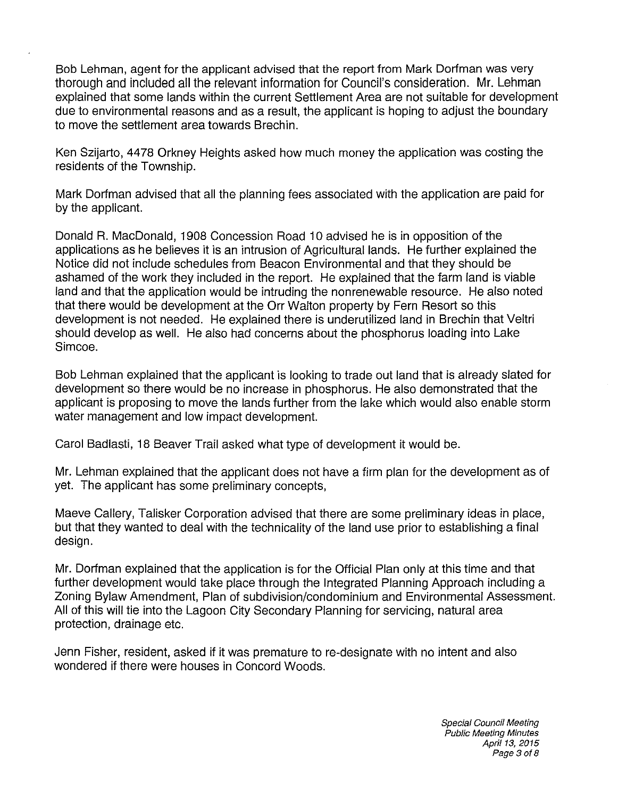Bob Lehman, agent for the applicant advised that the report from Mark Dorfman was very thorough and included all the relevant information for Council's consideration. Mr. Lehman explained that some lands within the current Settlement Area are not suitable for development due to environmental reasons and as a result, the applicant is hoping to adjust the boundary to move the settlement area towards Brechin.

Ken Szijarto, 4478 Orkney Heights asked how much money the application was costing the residents of the Township.

Mark Dorfman advised that all the planning fees associated with the application are paid for by the applicant.

Donald R. MacDonald, 1908 Concession Road 10 advised he is in opposition of the applications as he believes it is an intrusion of Agricultural lands. He further explained the Notice did not include schedules from Beacon Environmental and that they should be ashamed of the work they included in the report. He explained that the farm land is viable land and that the application would be intruding the nonrenewable resource. He also noted that there would be development at the Orr Walton property by Fern Resort so this development is not needed. He explained there is underutilized land in Brechin that Veltri should develop as well. He also had concerns about the phosphorus loading into Lake Simcoe.

Bob Lehman explained that the applicant is looking to trade out land that is already slated for development so there would be no increase in phosphorus. He also demonstrated that the applicant is proposing to move the lands further from the lake which would also enable storm water management and low impact development.

Carol Badlasti, 18 Beaver Trail asked what type of development it would be.

Mr. Lehman explained that the applicant does not have a firm plan for the development as of yet. The applicant has some preliminary concepts,

Maeve Callery, Talisker Corporation advised that there are some preliminary ideas in place, but that they wanted to deal with the technicality of the land use prior to establishing a final design.

Mr. Dorfman explained that the application is for the Official Plan only at this time and that further development would take place through the Integrated Planning Approach including a Zoning Bylaw Amendment, Plan of subdivision/condominium and Environmental Assessment. All of this will tie into the Lagoon City Secondary Planning for servicing, natural area protection, drainage etc.

Jenn Fisher, resident, asked if it was premature to re-designate with no intent and also wondered if there were houses in Concord Woods.

> Special Council Meeting Public Meeting Minutes April 13, 2015 Page 3 of 8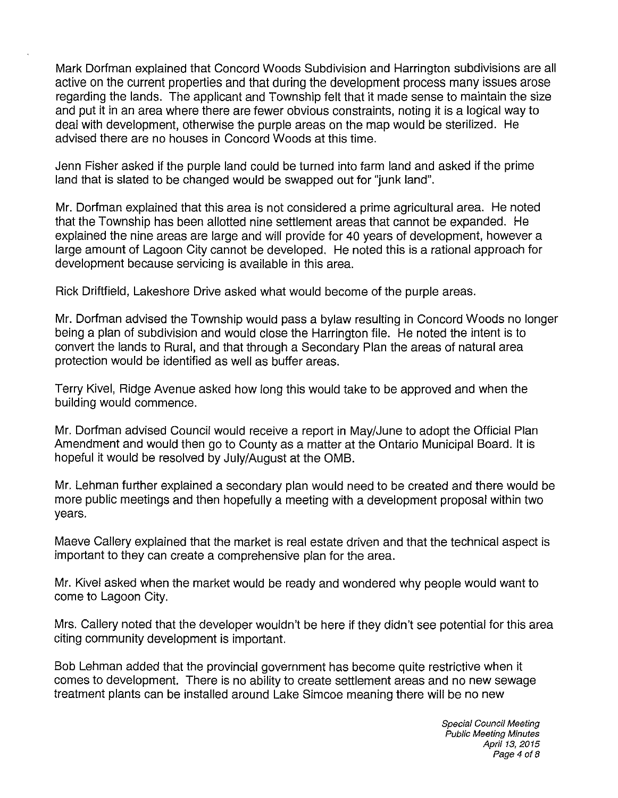Mark Dorfman explained that Concord Woods Subdivision and Harrington subdivisions are all active on the current properties and that during the development process many issues arose regarding the lands. The applicant and Township felt that it made sense to maintain the size and put it in an area where there are fewer obvious constraints, noting it is a logical way to deal with development, otherwise the purple areas on the map would be sterilized. He advised there are no houses in Concord Woods at this time.

Jenn Fisher asked if the purple land could be turned into farm land and asked if the prime land that is slated to be changed would be swapped out for "junk land".

Mr. Dorfman explained that this area is not considered a prime agricultural area. He noted that the Township has been allotted nine settlement areas that cannot be expanded. He explained the nine areas are large and will provide for 40 years of development, however a large amount of Lagoon City cannot be developed. He noted this is a rational approach for development because servicing is available in this area.

Rick Driftfield, Lakeshore Drive asked what would become of the purple areas.

Mr. Dorfman advised the Township would pass a bylaw resulting in Concord Woods no longer being a plan of subdivision and would close the Harrington file. He noted the intent is to convert the lands to Rural, and that through a Secondary Plan the areas of natural area protection would be identified as well as buffer areas.

Terry Kivel, Ridge Avenue asked how long this would take to be approved and when the building would commence.

Mr. Dorfman advised Council would receive a report in May/June to adopt the Official Plan Amendment and would then go to County as a matter at the Ontario Municipal Board. It is hopeful it would be resolved by July/August at the OMB.

Mr. Lehman further explained a secondary plan would need to be created and there would be more public meetings and then hopefully a meeting with a development proposal within two years.

Maeve Callery explained that the market is real estate driven and that the technical aspect is important to they can create a comprehensive plan for the area.

Mr. Kivel asked when the market would be ready and wondered why people would want to come to Lagoon City.

Mrs. Callery noted that the developer wouldn't be here if they didn't see potential for this area citing community development is important.

Bob Lehman added that the provincial government has become quite restrictive when it comes to development. There is no ability to create settlement areas and no new sewage treatment plants can be installed around Lake Simcoe meaning there will be no new

> Special Council Meeting Public Meeting Minutes April 13, 2015 Page 4 of 8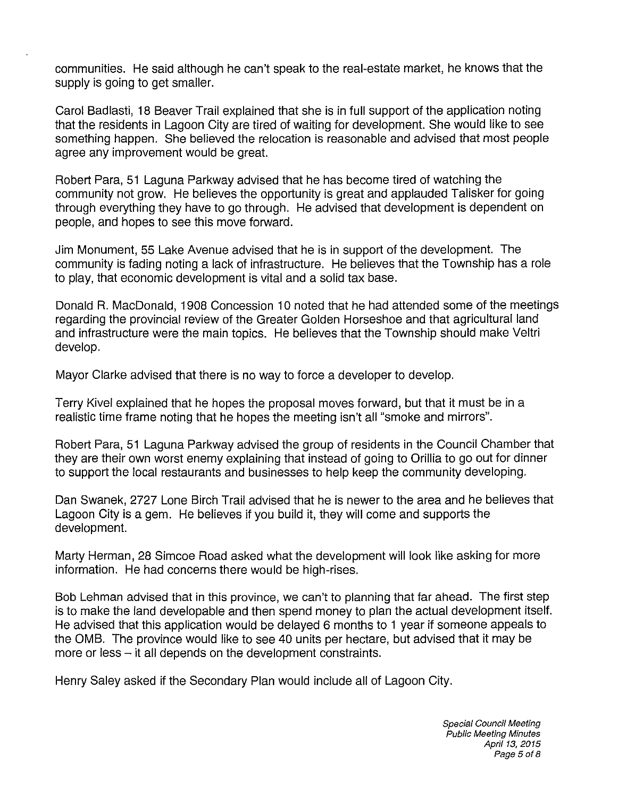communities. He said although he can't speak to the real-estate market, he knows that the supply is going to get smaller.

Carol Badlasti, 18 Beaver Trail explained that she is in full support of the application noting that the residents in Lagoon City are tired of waiting for development. She would like to see something happen. She believed the relocation is reasonable and advised that most people agree any improvement would be great.

Robert Para, 51 Laguna Parkway advised that he has become tired of watching the community not grow. He believes the opportunity is great and applauded Talisker for going through everything they have to go through. He advised that development is dependent on people, and hopes to see this move forward.

Jim Monument, 55 Lake Avenue advised that he is in support of the development. The community is fading noting a lack of infrastructure. He believes that the Township has a role to play, that economic development is vital and a solid tax base.

Donald R. MacDonald, 1908 Concession 10 noted that he had attended some of the meetings regarding the provincial review of the Greater Golden Horseshoe and that agricultural land and infrastructure were the main topics. He believes that the Township should make Veltri develop.

Mayor Clarke advised that there is no way to force a developer to develop.

Terry Kivel explained that he hopes the proposal moves forward, but that it must be in a realistic time frame noting that he hopes the meeting isn't all "smoke and mirrors".

Robert Para, 51 Laguna Parkway advised the group of residents in the Council Chamber that they are their own worst enemy explaining that instead of going to Orillia to go out for dinner to support the local restaurants and businesses to help keep the community developing.

Dan Swanek, 2727 Lone Birch Trail advised that he is newer to the area and he believes that Lagoon City is a gem. He believes if you build it, they will come and supports the development.

Marty Herman, 28 Simcoe Road asked what the development will look like asking for more information. He had concems there would be high-rises.

Bob Lehman advised that in this province, we can't to planning that far ahead. The first step is to make the land developable and then spend money to plan the actual development itself. He advised that this application would be delayed 6 months to 1 year if someone appeals to the OMB. The province would like to see 40 units per hectare, but advised that it may be more or less – it all depends on the development constraints.

Henry Saley asked if the Secondary Plan would include all of Lagoon City.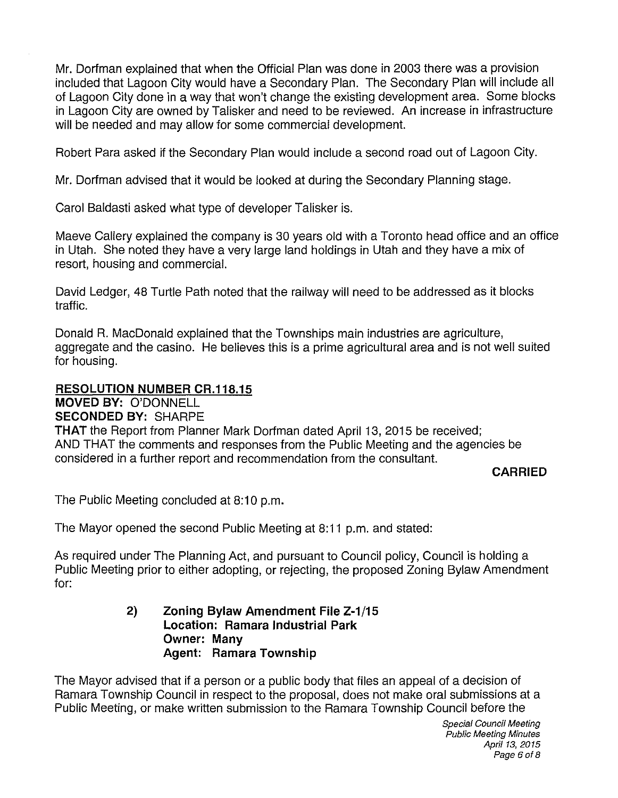Mr. Dorfman explained that when the Official Plan was done in 2003 there was a provision included that Lagoon City would have a Secondary Plan. The Secondary Plan will include all of Lagoon City done in a way that won't change the existing development area. Some blocks in Lagoon City are owned by Talisker and need to be reviewed. An increase in infrastructure will be needed and may allow for some commercial development.

Robert Para asked if the Secondary Plan would include a second road out of Lagoon City.

Mr. Dorfman advised that it would be looked at during the Secondary Planning stage.

Carol Baldasti asked what type of developer Talisker is.

Maeve Callery explained the company is 30 years old with a Toronto head office and an office in Utah. She noted they have a very large land holdings in Utah and they have a mix of resort, housing and commercial.

David Ledger, 48 Turtle Path noted that the railway will need to be addressed as it blocks traffic.

Donald R. MacDonald explained that the Townships main industries are agriculture, aggregate and the casino. He believes this is a prime agricultural area and is not well suited for housing.

## **RESOLUTION NUMBER CR.118.15**

**MOVED BY:** O'DONNELL **SECONDED BY:** SHARPE

**THAT** the Report from Planner Mark Dorfman dated April 13, 2015 be received; AND THAT the comments and responses from the Public Meeting and the agencies be considered in a further report and recommendation from the consultant.

## **CARRIED**

The Public Meeting concluded at 8:10 p.m.

The Mayor opened the second Public Meeting at 8:11 p.m. and stated:

As required under The Planning Act, and pursuant to Council policy, Council is holding a Public Meeting prior to either adopting, or rejecting, the proposed Zoning Bylaw Amendment for:

## **2) Zoning Bylaw Amendment File Z-1/15 Location: Ramara Industrial Park Owner: Many Agent: Ramara Township**

The Mayor advised that if a person or a public body that files an appeal of a decision of Ramara Township Council in respect to the proposal, does not make oral submissions at a Public Meeting, or make written submission to the Ramara Township Council before the

> Special Council Meeting Public Meeting Minutes April 13, 2015 Page *6018*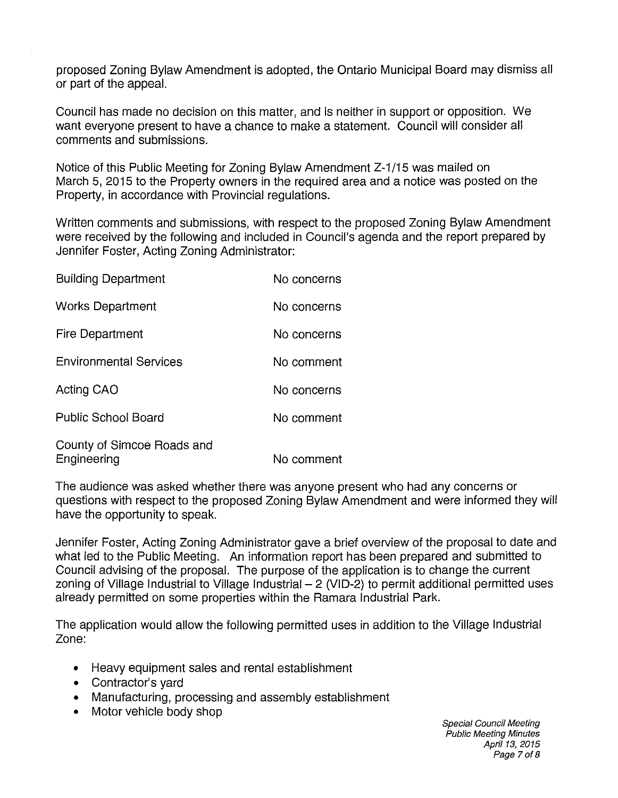proposed Zoning Bylaw Amendment is adopted, the Ontario Municipal Board may dismiss all or part of the appeal.

Council has made no decision on this matter, and is neither in support or opposition. We want everyone present to have a chance to make a statement. Council will consider all comments and submissions.

Notice of this Public Meeting for Zoning Bylaw Amendment Z-1/15 was mailed on March 5, 2015 to the Property owners in the required area and a notice was posted on the Property, in accordance with Provincial regulations.

Written comments and submissions, with respect to the proposed Zoning Bylaw Amendment were received by the following and included in Council's agenda and the report prepared by Jennifer Foster, Acting Zoning Administrator:

| <b>Building Department</b>                | No concerns |
|-------------------------------------------|-------------|
| <b>Works Department</b>                   | No concerns |
| <b>Fire Department</b>                    | No concerns |
| <b>Environmental Services</b>             | No comment  |
| Acting CAO                                | No concerns |
| <b>Public School Board</b>                | No comment  |
| County of Simcoe Roads and<br>Engineering | No comment  |

The audience was asked whether there was anyone present who had any concerns or questions with respect to the proposed Zoning Bylaw Amendment and were informed they will have the opportunity to speak.

Jennifer Foster, Acting Zoning Administrator gave a brief overview of the proposal to date and what led to the Public Meeting. An information report has been prepared and submitted to Council advising of the proposal. The purpose of the application is to change the current zoning of Village Industrial to Village Industrial  $-$  2 (VID-2) to permit additional permitted uses already permitted on some properties within the Ramara Industrial Park.

The application would allow the following permitted uses in addition to the Village Industrial Zone:

- Heavy equipment sales and rental establishment
- Contractor's yard
- Manufacturing, processing and assembly establishment
- Motor vehicle body shop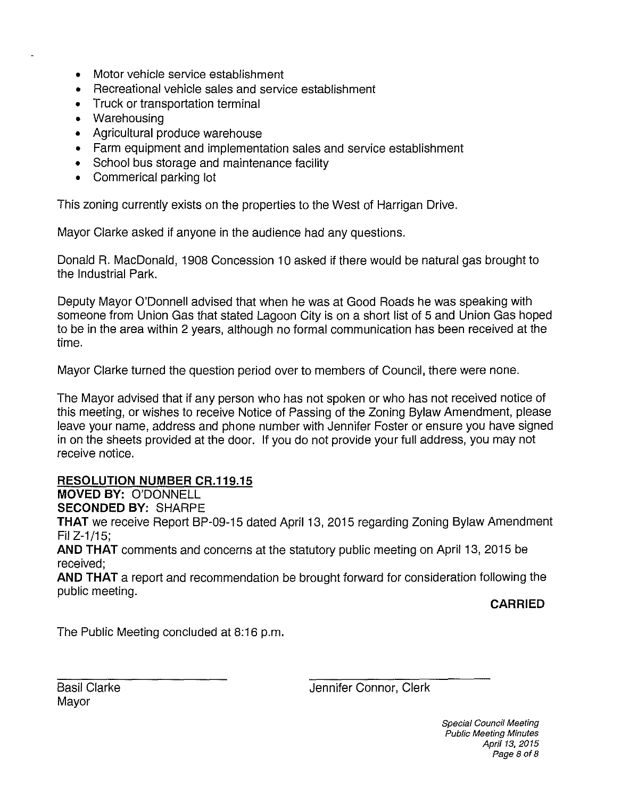- Motor vehicle service establishment
- Recreational vehicle sales and service establishment
- Truck or transportation terminal
- Warehousing
- Agricultural produce warehouse
- Farm equipment and implementation sales and service establishment
- School bus storage and maintenance facility
- Commerical parking lot

This zoning currently exists on the properties to the West of Harrigan Drive.

Mayor Clarke asked if anyone in the audience had any questions.

Donald R. MacDonald, 1908 Concession 10 asked if there would be natural gas brought to the Industrial Park.

Deputy Mayor O'Donnell advised that when he was at Good Roads he was speaking with someone from Union Gas that stated Lagoon City is on a short list of 5 and Union Gas hoped to be in the area within 2 years, although no formal communication has been received at the time.

Mayor Clarke turned the question period over to members of Council, there were none.

The Mayor advised that if any person who has not spoken or who has not received notice of this meeting, or wishes to receive Notice of Passing of the Zoning Bylaw Amendment, please leave your name, address and phone number with Jennifer Foster or ensure you have signed in on the sheets provided at the door. If you do not provide your full address, you may not receive notice.

## **RESOLUTION NUMBER CR.119.15**

**MOVED BY:** O'DONNELL

**SECONDED BY:** SHARPE

**THAT** we receive Report BP-09-15 dated April 13, 2015 regarding Zoning Bylaw Amendment Fil Z-1/15;

**AND THAT** comments and concerns at the statutory public meeting on April 13, 2015 be received;

**AND THAT** a report and recommendation be brought forward for consideration following the public meeting.

**CARRIED** 

The Public Meeting concluded at 8:16 p.m.

Basil Clarke Mayor

Jennifer Connor, Clerk

Special Council Meeting Public Meeting Minutes April 13, 2015 Page 8 of 8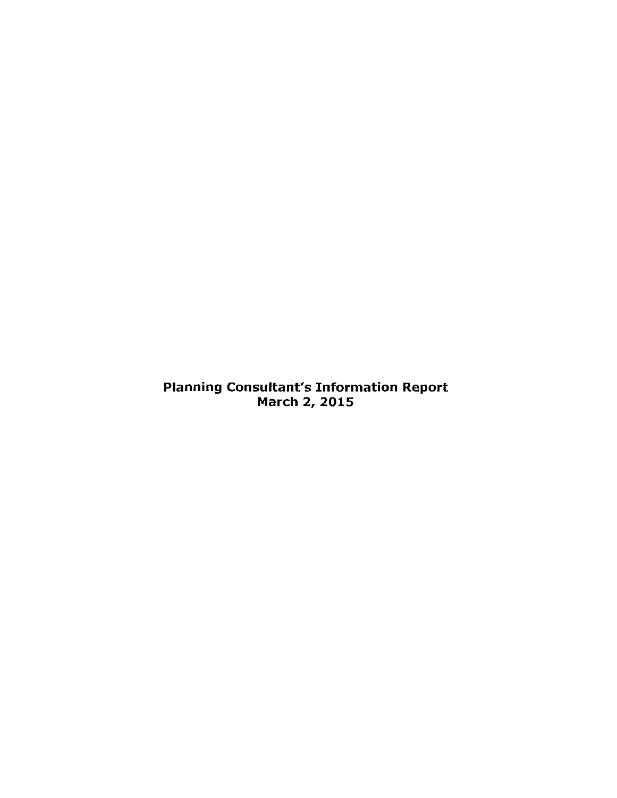Planning Consultant's Information Report March 2, 2015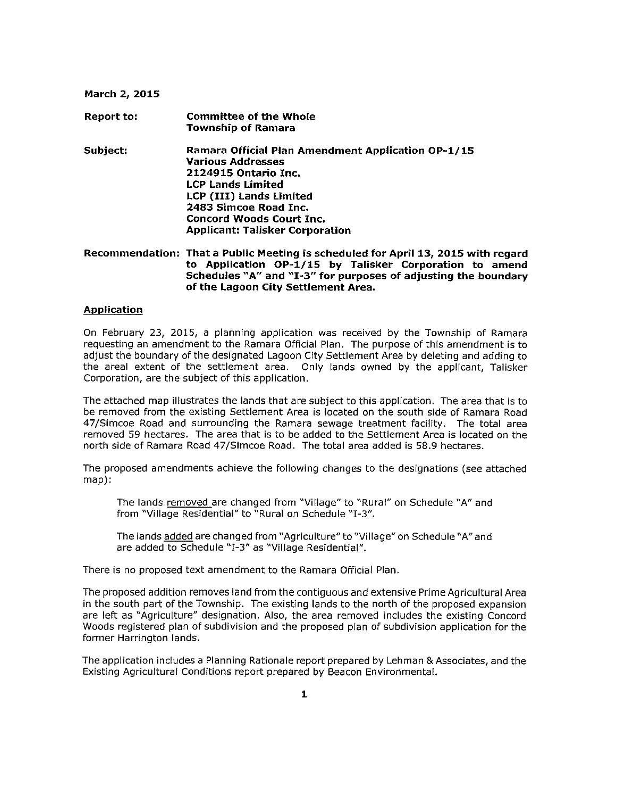#### **March 2, 2015**

**Report to: Committee of the Whole Township of Ramara Subject: Ramara Official Plan Amendment Application OP-1/15 Various Addresses 2124915 Ontario Inc. LCP Lands Limited LCP (III) Lands Limited 2483 Simcoe Road Inc. Concord Woods Court Inc. Applicant: Talisker Corporation** 

**Recommendation: That a Public Meeting is scheduled for April 13, 2015 with regard to Application OP-1/15 by Talisker Corporation to amend**  Schedules "A" and "I-3" for purposes of adjusting the boundary **of the Lagoon City Settlement Area.** 

### **Application**

On February 23, 2015, a planning application was received by the Township of Ramara requesting an amendment to the Ramara Official Plan. The purpose of this amendment is to adjust the boundary of the designated Lagoon City Settlement Area by deleting and adding to the areal extent of the settlement area. Only lands owned by the applicant, Talisker Corporation, are the subject of this application.

The attached map illustrates the lands that are subject to this application. The area that is to be removed from the existing Settlement Area is located on the south side of Ramara Road 47/Simcoe Road and surrounding the Ramara sewage treatment facility. The total area removed 59 hectares. The area that is to be added to the Settlement Area is located on the north side of Ramara Road 47/Simcoe Road. The total area added is 58.9 hectares.

The proposed amendments achieve the following changes to the designations (see attached map):

The lands removed are changed from "Village" to "Rural" on Schedule "A" and from "Village Residential" to "Rural on Schedule "1-3".

The lands added are changed from "Agriculture" to "Village" on Schedule "A" and are added to Schedule "1-3" as "Village Residential".

There is no proposed text amendment to the Ramara Official Plan.

The proposed addition removes land from the contiguous and extensive Prime Agricultural Area in the south part of the Township. The existing lands to the north of the proposed expansion are left as "Agriculture" designation. Also, the area removed includes the existing Concord Woods registered plan of subdivision and the proposed plan of subdivision application for the former Harrington lands.

The application includes a Planning Rationale report prepared by Lehman & Associates, and the Existing Agricultural Conditions report prepared by Beacon Environmental.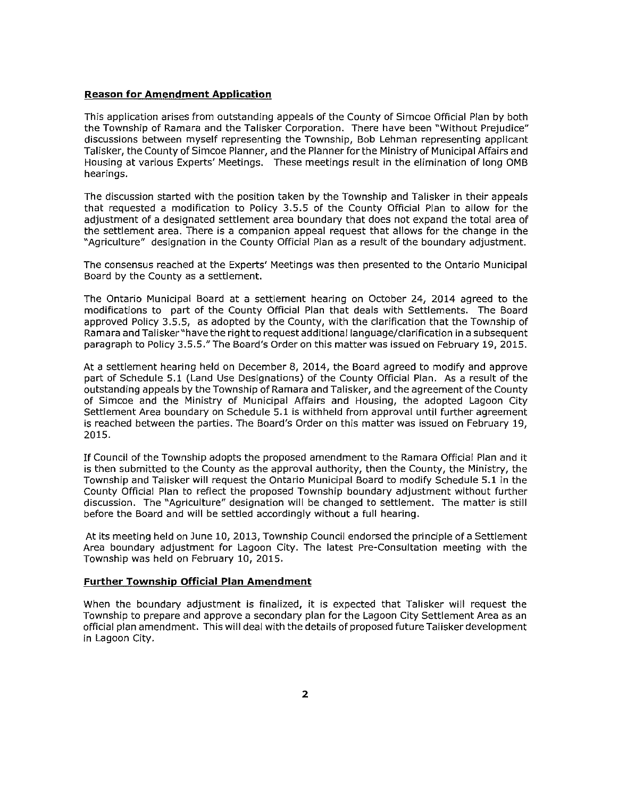### **Reason for Amendment Application**

This application arises from outstanding appeals of the County of Simcoe Official Plan by both the Township of Ramara and the Talisker Corporation. There have been "Without Prejudice" discussions between myself representing the Township, Bob Lehman representing applicant Talisker, the County of Simcoe Planner, and the Planner forthe Ministry of Municipal Affairs and Housing at various Experts' Meetings. These meetings result in the elimination of long OMB hearings.

The discussion started with the position taken by the Township and Talisker in their appeals that requested a modification to Policy 3.5.5 of the County Official Plan to allow for the adjustment of a designated settlement area boundary that does not expand the total area of the settlement area. There is a companion appeal request that allows for the change in the "Agriculture" designation in the County Official Plan as a result of the boundary adjustment.

The consensus reached at the Experts' Meetings was then presented to the Ontario Municipal Board by the County as a settlement.

The Ontario Municipal Board at a settlement hearing on October 24, 2014 agreed to the modifications to part of the County Official Plan that deals with Settlements. The Board approved Policy 3.5.5, as adopted by the County, with the clarification that the Township of Ramara and Talisker"have the right to request additional language/clarification in a subsequent paragraph to Policy 3.5.5." The Board's Order on this matter was issued on February 19, 2015.

At a settlement hearing held on December 8, 2014, the Board agreed to modify and approve part of Schedule 5.1 (Land Use Designations) of the County Official Plan. As a result of the outstanding appeals by the Township of Ramara and Talisker, and the agreement of the County of Simcoe and the Ministry of Municipal Affairs and Housing, the adopted Lagoon City Settlement Area boundary on Schedule 5.1 is withheld from approval until further agreement is reached between the parties. The Board's Order on this matter was issued on February 19, 2015.

If Council of the Township adopts the proposed amendment to the Ramara Official Plan and it is then submitted to the County as the approval authority, then the County, the Ministry, the Township and Talisker will request the Ontario Municipal Board to modify Schedule 5.1 in the County Official Plan to reflect the proposed Township boundary adjustment without further discussion. The "Agriculture" designation will be changed to settlement. The matter is still before the Board and will be settled accordingly without a full hearing.

At its meeting held on June 10, 2013, Township Council endorsed the principle of a Settlement Area boundary adjustment for Lagoon City. The latest Pre-Consultation meeting with the Township was held on February 10, 2015.

### **Further Township Official Plan Amendment**

When the boundary adjustment is finalized, it is expected that Talisker will request the Township to prepare and approve a secondary plan for the Lagoon City Settlement Area as an official plan amendment. This will deal with the details of proposed future Talisker development in Lagoon City.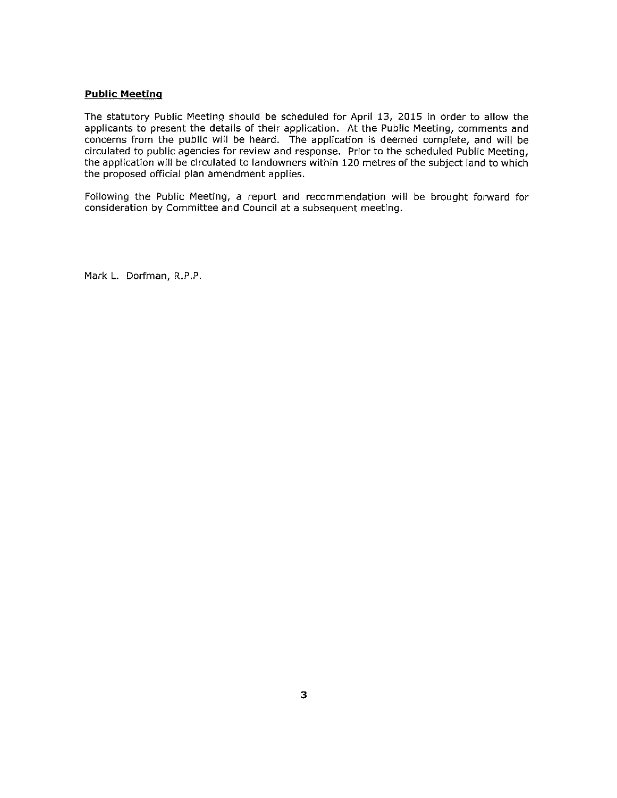## **Public Meeting**

The statutory Public Meeting should be scheduled for April 13, 2015 in order to allow the applicants to present the details of their application. At the Public Meeting, comments and concerns from the public will be heard. The application is deemed complete, and will be circulated to public agencies for review and response. Prior to the scheduled Public Meeting, the application will be circulated to landowners within 120 metres of the subject land to which the proposed official plan amendment applies.

Following the Public Meeting, a report and recommendation will be brought forward for consideration by Committee and Council at a subsequent meeting.

Mark L. Dorfman, R.P.P.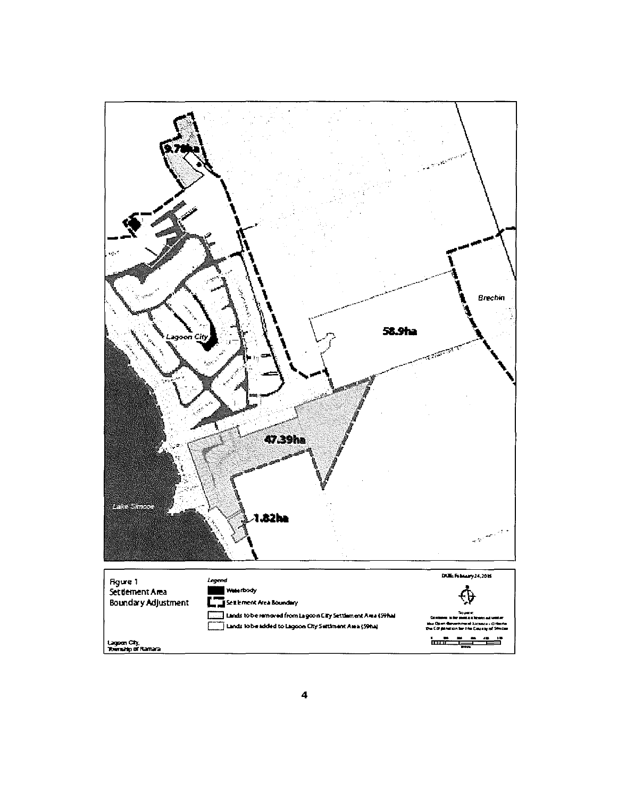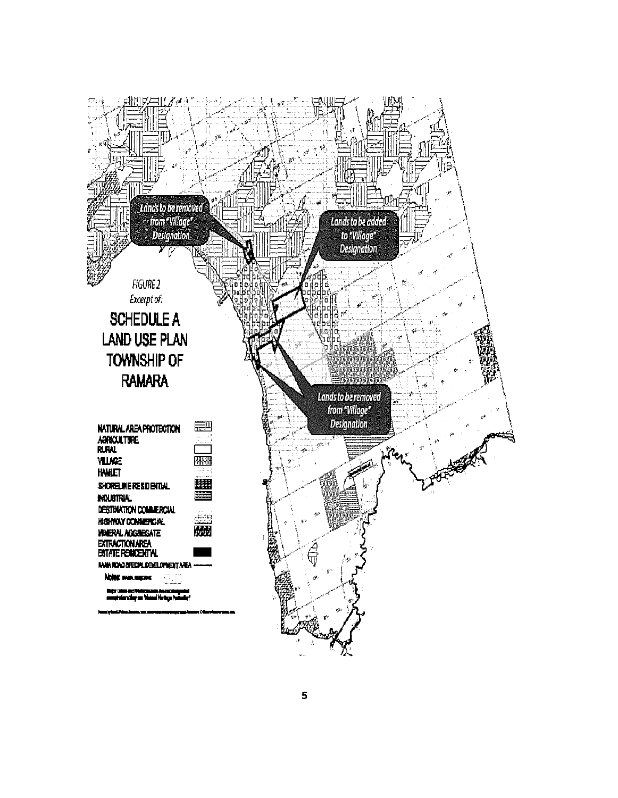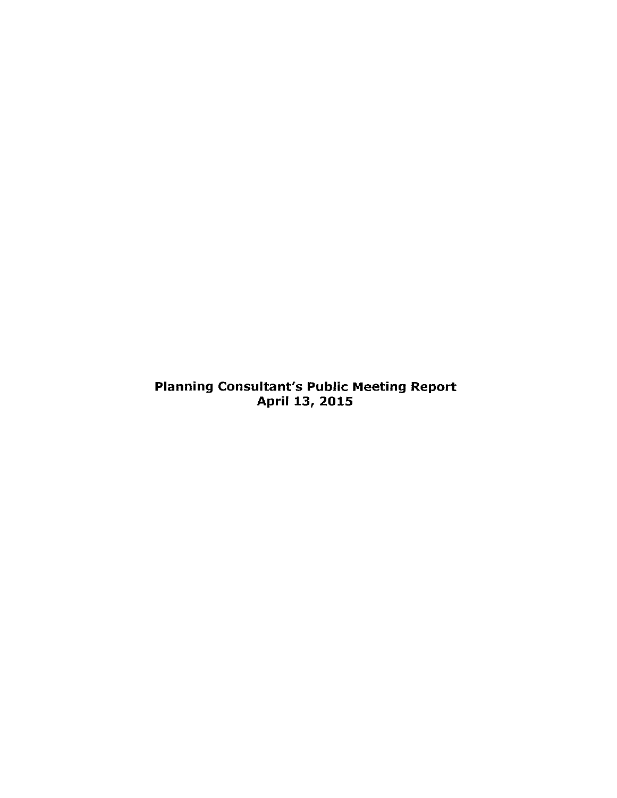Planning Consultant's Public Meeting Report April 13, 2015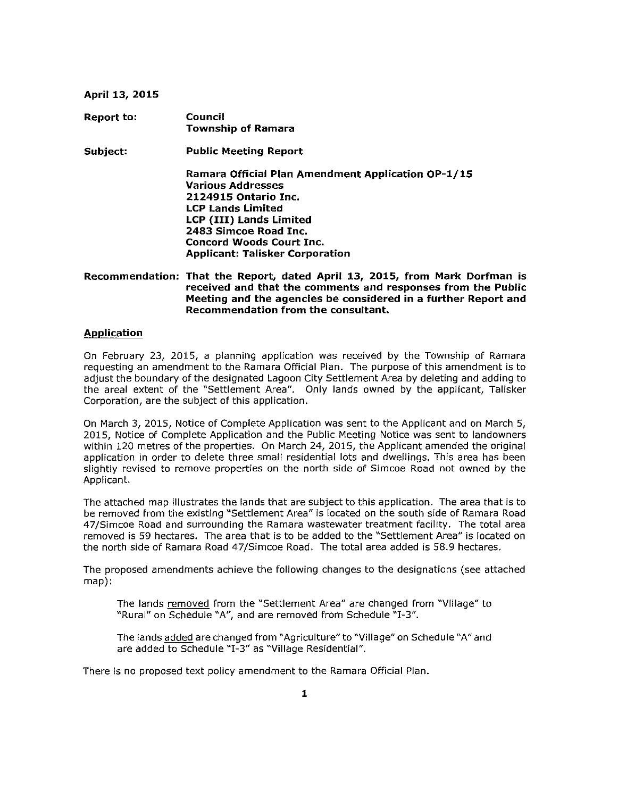#### **April 13, 2015**

| <b>Report to:</b> | Council<br><b>Township of Ramara</b>                                                                                                                                                                                                                                       |
|-------------------|----------------------------------------------------------------------------------------------------------------------------------------------------------------------------------------------------------------------------------------------------------------------------|
| Subject:          | <b>Public Meeting Report</b>                                                                                                                                                                                                                                               |
|                   | Ramara Official Plan Amendment Application OP-1/15<br><b>Various Addresses</b><br><b>2124915 Ontario Inc.</b><br><b>LCP Lands Limited</b><br>LCP (III) Lands Limited<br>2483 Simcoe Road Inc.<br><b>Concord Woods Court Inc.</b><br><b>Applicant: Talisker Corporation</b> |

### **Recommendation: That the Report, dated April 13, 2015, from Mark Dorfman is received and that the comments and responses from the Public Meeting and the agencies be considered in a further Report and Recommendation from the consultant.**

## **Application**

On February 23, 2015, a planning application was received by the Township of Ramara requesting an amendment to the Ramara Official Plan. The purpose of this amendment is to adjust the boundary of the designated Lagoon City Settlement Area by deleting and adding to the areal extent of the "Settlement Area". Only lands owned by the applicant, Talisker Corporation, are the subject of this application.

On March 3, 2015, Notice of Complete Application was sent to the Applicant and on March 5, 2015, Notice of Complete Application and the Public Meeting Notice was sent to landowners within 120 metres of the properties. On March 24, 2015, the Applicant amended the original application in order to delete three small residential lots and dwellings. This area has been slightly revised to remove properties on the north side of Simcoe Road not owned by the Applicant.

The attached map illustrates the lands that are subject to this application. The area that is to be removed from the existing "Settlement Area" is located on the south side of Ramara Road 47/Simcoe Road and surrounding the Ramara wastewater treatment facility. The total area removed is 59 hectares. The area that is to be added to the "Settlement Area" is located on the north side of Ramara Road 47/Simcoe Road. The total area added is 58.9 hectares.

The proposed amendments achieve the following changes to the designations (see attached map):

The lands removed from the "Settlement Area" are changed from "Village" to "Rural" on Schedule "A", and are removed from Schedule "1-3".

The lands added are changed from "Agriculture" to "Village" on Schedule "A" and are added to Schedule "1-3" as "Village Residential".

There is no proposed text policy amendment to the Ramara Official Plan.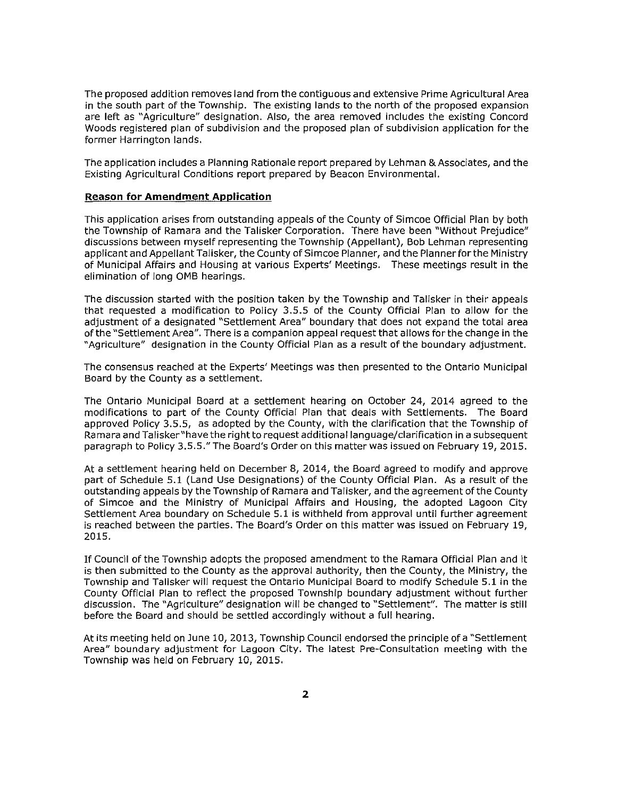The proposed addition removes land from the contiguous and extensive Prime Agricultural Area in the south part of the Township. The existing lands to the north of the proposed expansion are left as "Agriculture" designation. Also, the area removed includes the existing Concord Woods registered plan of subdivision and the proposed plan of subdivision application for the former Harrington lands.

The application includes a Planning Rationale report prepared by Lehman & Associates, and the Existing Agricultural Conditions report prepared by Beacon Environmental.

#### **Reason for Amendment Application**

This application arises from outstanding appeals of the County of Simcoe Official Plan by both the Township of Ramara and the Talisker Corporation. There have been "Without Prejudice" discussions between myself representing the Township (Appellant), Bob Lehman representing applicant and Appellant Talisker, the County of Simcoe Planner, and the Planner forthe Ministry of Municipal Affairs and Housing at various Experts' Meetings. These meetings result in the elimination of long OMB hearings.

The discussion started with the position taken by the Township and Talisker in their appeals that requested a modification to Policy 3.5.5 of the County Official Plan to allow for the adjustment of a designated "Settlement Area" boundary that does not expand the total area of the "Settlement Area". There is a companion appeal request that allows for the change in the "Agriculture" designation in the County Official Plan as a result of the boundary adjustment.

The consensus reached at the Experts' Meetings was then presented to the Ontario Municipal Board by the County as a settlement.

The Ontario Municipal Board at a settlement hearing on October 24, 2014 agreed to the modifications to part of the County Official Plan that deals with Settlements. The Board approved Policy 3.5.5, as adopted by the County, with the clarification that the Township of Ramara and Talisker"have the right to request additional language/clarification in a subsequent paragraph to Policy 3.5.5." The Board's Order on this matter was issued on February 19, 2015.

At a settlement hearing held on December 8, 2014, the Board agreed to modify and approve part of Schedule 5.1 (Land Use Designations) of the County Official Plan. As a result of the outstanding appeals by the Township of Ramara and Talisker, and the agreement of the County of Simcoe and the Ministry of Municipal Affairs and Housing, the adopted Lagoon City Settlement Area boundary on Schedule 5.1 is withheld from approval until further agreement is reached between the parties. The Board's Order on this matter was issued on February 19, 2015.

If Council of the Township adopts the proposed amendment to the Ramara Official Plan and it is then submitted to the County as the approval authority, then the County, the Ministry, the Township and Talisker will request the Ontario Municipal Board to modify Schedule 5.1 in the County Official Plan to reflect the proposed Township boundary adjustment without further discussion. The "Agriculture" designation will be changed to "Settlement". The matter is still before the Board and should be settled accordingly without a full hearing.

At its meeting held on June 10, 2013, Township Council endorsed the principle of a "Settlement Area" boundary adjustment for Lagoon City. The latest Pre-Consultation meeting with the Township was held on February 10, 2015.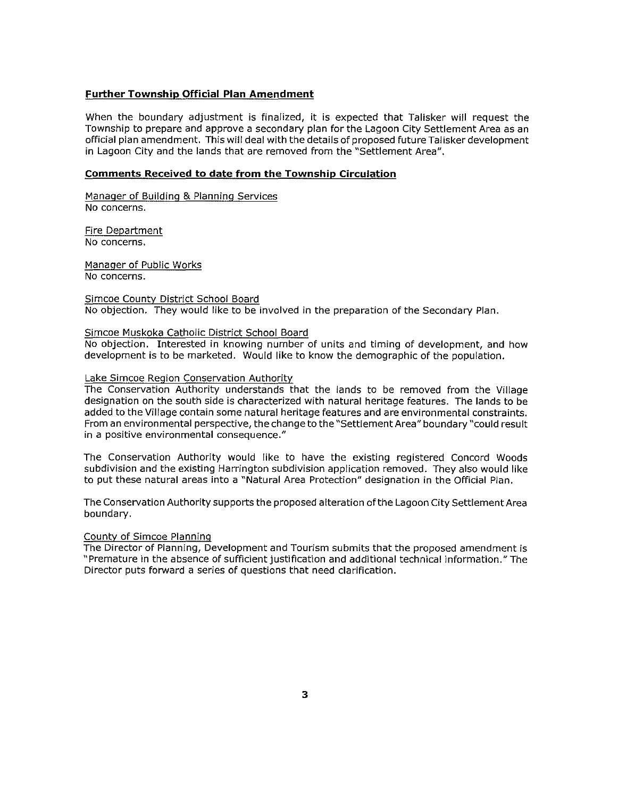### **Further Township Official Plan Amendment**

When the boundary adjustment is finalized, it is expected that Talisker will request the Township to prepare and approve a secondary plan for the Lagoon City Settlement Area as an official plan amendment. This will deal with the details of proposed future Talisker development in Lagoon City and the lands that are removed from the "Settlement Area".

#### **comments Received to date from the Township Circulation**

Manager of Building & Planning Services No concerns.

Fire Department No concerns.

Manager of Public Works No concerns.

Simcoe County District School Board No objection. They would like to be involved in the preparation of the Secondary Plan.

### Simcoe Muskoka Catholic District School Board

No objection. Interested in knowing number of units and timing of development, and how development is to be marketed. Would like to know the demographic of the population.

#### Lake Simcoe Region Conservation Authority

The Conservation Authority understands that the lands to be removed from the Village designation on the south side is characterized with natural heritage features. The lands to be added to the Village contain some natural heritage features and are environmental constraints. From an environmental perspective, the change to the "Settlement Area" boundary "could result in a positive environmental consequence."

The Conservation Authority would like to have the existing registered Concord Woods subdivision and the existing Harrington subdivision application removed. They also would like to put these natural areas into a "Natural Area Protection" designation in the Official Plan.

The Conservation Authority supports the proposed alteration of the Lagoon City Settlement Area boundary.

#### County of Simcoe Planning

The Director of Planning, Development and Tourism submits that the proposed amendment is "Premature in the absence of sufficient justification and additional technical information." The Director puts forward a series of questions that need clarification.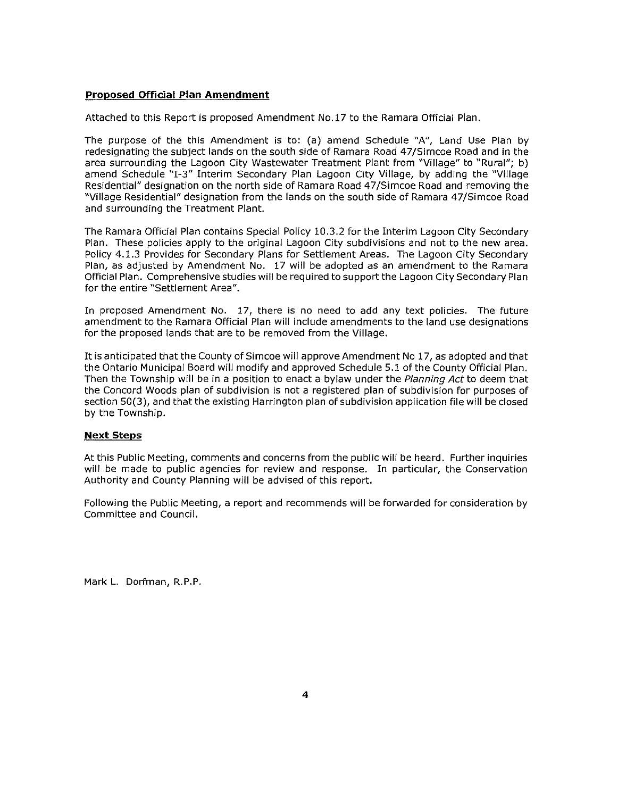### **Proposed Official Plan Amendment**

Attached to this Report is proposed Amendment No.17 to the Ramara Official Plan.

The purpose of the this Amendment is to: (a) amend Schedule "A", Land Use Plan by redesignating the subject lands on the south side of Ramara Road 47/Simcoe Road and in the area surrounding the Lagoon City Wastewater Treatment Plant from "Village" to "Rural"; b) amend Schedule "1-3" Interim Secondary Plan Lagoon City Village, by adding the "Village Residential" designation on the north side of Ramara Road 47/Simcoe Road and removing the "Village Residential" designation from the lands on the south side of Ramara 47/Simcoe Road and surrounding the Treatment Plant.

The Ramara Official Plan contains Special Policy 10.3.2 for the Interim Lagoon City Secondary Plan. These policies apply to the original Lagoon City subdivisions and not to the new area. Policy 4.1.3 Provides for Secondary Plans for Settlement Areas. The Lagoon City Secondary Plan, as adjusted by Amendment No. 17 will be adopted as an amendment to the Ramara Official Plan. Comprehensive studies will be required to support the Lagoon City Secondary Plan for the entire "Settlement Area".

In proposed Amendment No. 17, there is no need to add any text policies. The future amendment to the Ramara Official Plan will include amendments to the land use designations for the proposed lands that are to be removed from the Village.

It is anticipated that the County of Simcoe will approve Amendment No 17, as adopted and that the Ontario Municipal Board will modify and approved Schedule 5.1 of the County Official Plan. Then the Township will be in a position to enact a bylaw under the Planning Act to deem that the Concord Woods plan of subdivision is not a registered plan of subdivision for purposes of section 50(3), and that the existing Harrington plan of subdivision application file will be closed by the Township.

#### **Next Steps**

At this Public Meeting, comments and concerns from the public will be heard. Further inquiries will be made to public agencies for review and response. In particular, the Conservation Authority and County Planning will be advised of this report.

Following the Public Meeting, a report and recommends will be forwarded for consideration by Committee and Council.

Mark L. Dorfman, R.P.P.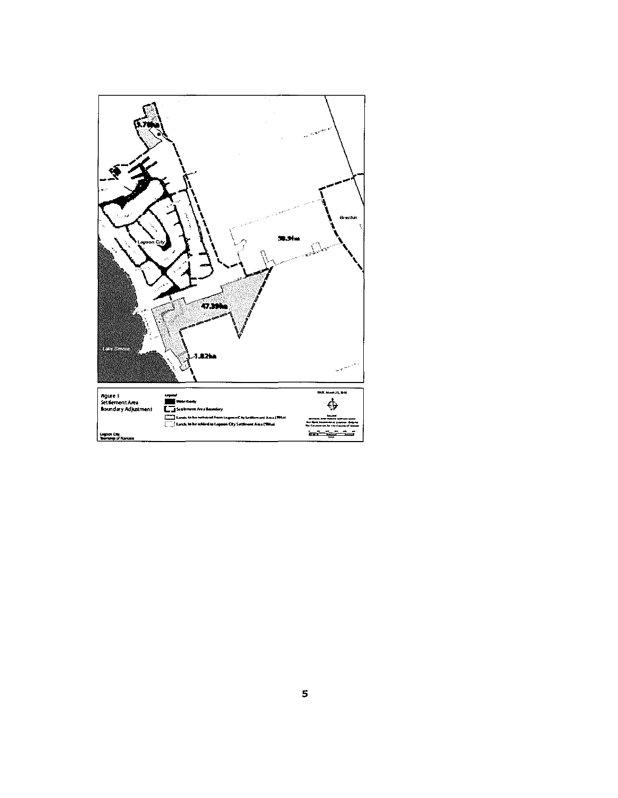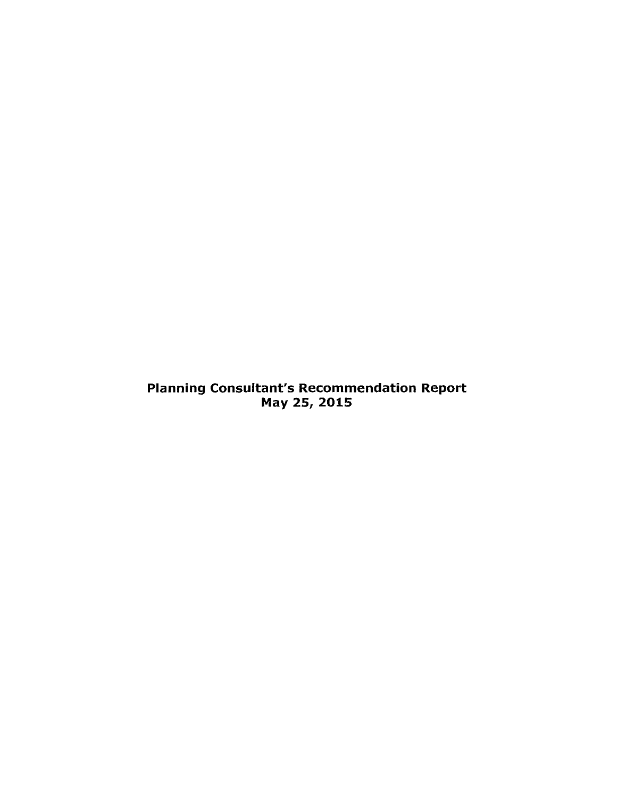Planning Consultant's Recommendation Report May 25,2015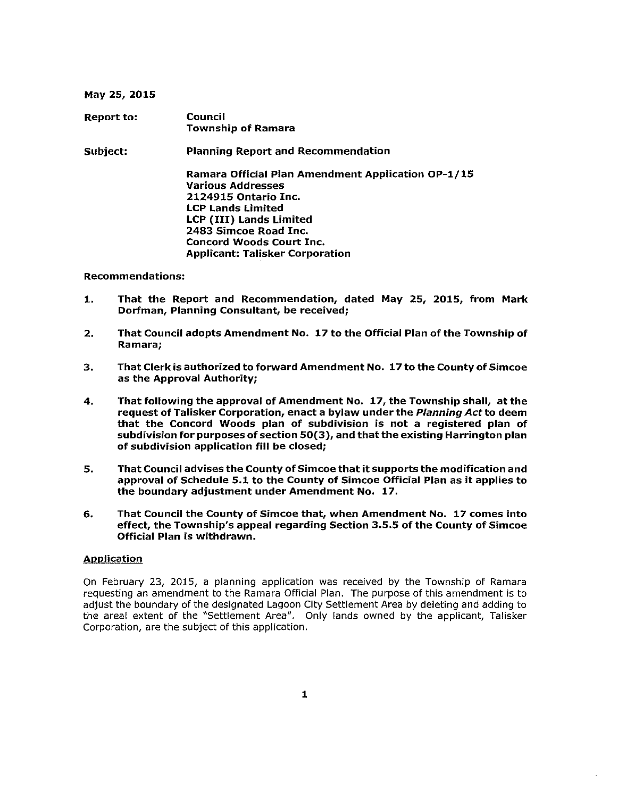#### May 25,2015

Report to: Subject: Council Township of Ramara Planning Report and Recommendation Ramara Official Plan Amendment Application OP-l/15 Various Addresses 2124915 Ontario Inc. LCP Lands Limited LCP (III) Lands Limited 2483 Simcoe Road Inc. Concord Woods Court Inc. Applicant: Talisker Corporation

### Recommendations:

- 1. That the Report and Recommendation, dated May 25, 2015, from Mark Dorfman, Planning Consultant, be received;
- 2. That Council adopts Amendment No. 17 to the Official Plan of the Township of Ramara;
- 3. That Clerk is authorized to forward Amendment No. 17 to the County of Simcoe as the Approval Authority;
- 4. That following the approval of Amendment No. 17, the Township shall, at the request of Talisker Corporation, enact a bylaw under the Planning Act to deem that the Concord Woods plan of subdivision is not a registered plan of subdivision for purposes of section 50(3), and thatthe existing Harrington plan of subdivision application **fill** be closed;
- 5. That Council advises the County of Simcoe that it supports the modification and approval of Schedule 5.1 to the County of Simcoe Official Plan as it applies to the boundary adjustment under Amendment No. 17.
- 6. That Council the County of Simcoe that, when Amendment No. 17 comes into effect, the Township's appeal regarding Section 3.5.5 of the County of Simcoe Official Plan is withdrawn.

#### **Application**

On February 23, 2015, a planning application was received by the Township of Ramara requesting an amendment to the Ramara Official Plan. The purpose of this amendment is to adjust the boundary of the designated Lagoon City Settlement Area by deleting and adding to the areal extent of the "Settlement Area". Only lands owned by the applicant, Talisker Corporation, are the subject of this application.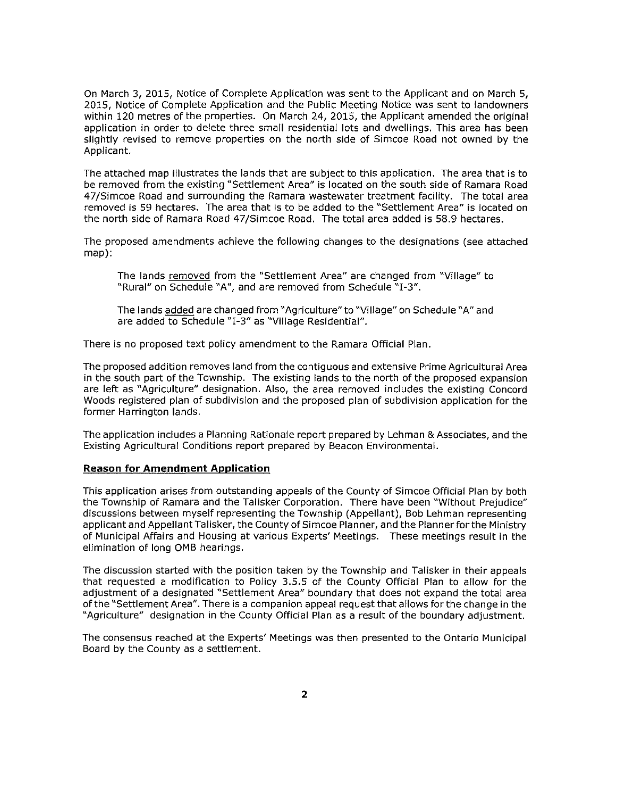On March 3, 2015, Notice of Complete Application was sent to the Applicant and on March 5, 2015, Notice of Complete Application and the Public Meeting Notice was sent to landowners within 120 metres of the properties. On March 24, 2015, the Applicant amended the original application in order to delete three small residential lots and dwellings. This area has been slightly revised to remove properties on the north side of Simcoe Road not owned by the Applicant.

The attached map illustrates the lands that are subject to this application. The area that is to be removed from the existing "Settlement Area" is located on the south side of Ramara Road 47jSimcoe Road and surrounding the Ramara wastewater treatment facility. The total area removed is 59 hectares. The area that is to be added to the "Settlement Area" is located on the north side of Ramara Road 47/Simcoe Road. The total area added is 58.9 hectares.

The proposed amendments achieve the following changes to the designations (see attached map):

The lands removed from the "Settlement Area" are changed from "Village" to "Rural" on Schedule "A", and are removed from Schedule "1-3".

The lands added are changed from "Agriculture" to "Village" on Schedule "A" and are added to Schedule "1-3" as "Village Residential".

There is no proposed text policy amendment to the Ramara Official Plan.

The proposed addition removes land from the contiguous and extensive Prime Agricultural Area in the south part of the Township. The existing lands to the north of the proposed expansion are left as "Agriculture" designation. Also, the area removed includes the existing Concord Woods registered plan of subdivision and the proposed plan of subdivision application for the former Harrington lands.

The application includes a Planning Rationale report prepared by Lehman & Associates, and the Existing Agricultural Conditions report prepared by Beacon Environmental.

### **Reason for Amendment Application**

This application arises from outstanding appeals of the County of Simcoe Official Plan by both the Township of Ramara and the Talisker Corporation. There have been "Without Prejudice" discussions between myself representing the Township (Appellant), Bob Lehman representing applicant and Appellant Talisker, the County of Simcoe Planner, and the Planner for the Ministry of Municipal Affairs and Housing at various Experts' Meetings. These meetings result in the elimination of long OMB hearings.

The discussion started with the position taken by the Township and Talisker in their appeals that requested a modification to Policy 3.5.5 of the County Official Plan to allow for the adjustment of a designated "Settlement Area" boundary that does not expand the total area of the "Settlement Area". There is a companion appeal request that allows for the change in the "Agriculture" designation in the County Official Plan as a result of the boundary adjustment.

The consensus reached at the Experts' Meetings was then presented to the Ontario Municipal Board by the County as a settlement.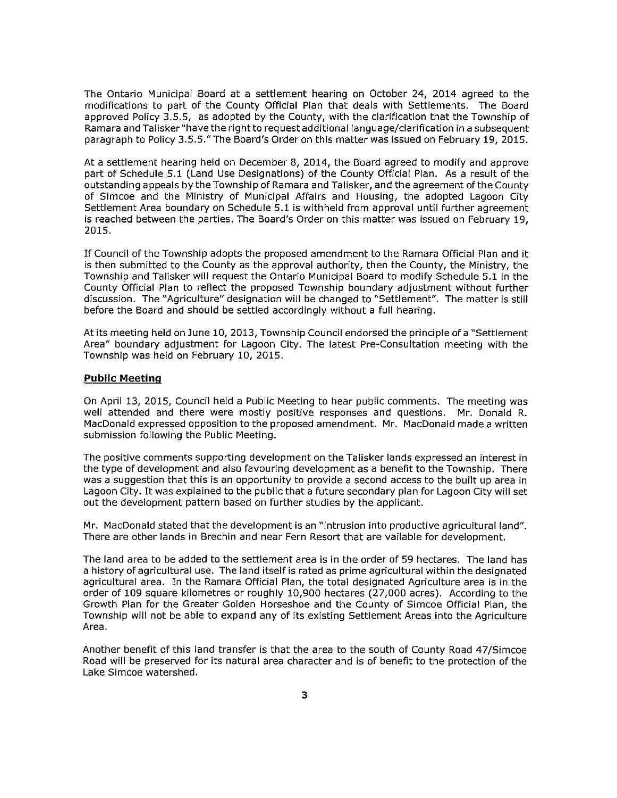The Ontario Municipal Board at a settlement hearing on October 24, 2014 agreed to the modifications to part of the County Official Plan that deals with Settlements. The Board approved Policy 3.5.5, as adopted by the County, with the clarification that the Township of Ramara and Talisker"have the right to request additional language/clarification in a subsequent paragraph to Policy 3.5.5." The Board's Order on this matter was issued on February 19, 2015.

At a settlement hearing held on December 8, 2014, the Board agreed to modify and approve part of Schedule 5.1 (Land Use Designations) of the County Official Plan. As a result of the outstanding appeals by the Township of Ramara and Talisker, and the agreement of the County of Simcoe and the Ministry of Municipal Affairs and Housing, the adopted Lagoon City Settlement Area boundary on Schedule 5.1 is withheld from approval until further agreement is reached between the parties. The Board's Order on this matter was issued on February 19, 2015.

If Council of the Township adopts the proposed amendment to the Ramara Official Plan and it is then submitted to the County as the approval authority, then the County, the Ministry, the Township and Talisker will request the Ontario Municipal Board to modify Schedule 5.1 in the County Official Plan to reflect the proposed Township boundary adjustment without further discussion. The "Agriculture" designation will be changed to "Settlement". The matter is still before the Board and should be settled accordingly without a full hearing.

At its meeting held on June 10, 2013, Township Council endorsed the principle of a "Settlement Area" boundary adjustment for Lagoon City. The latest Pre-Consultation meeting with the Township was held on February 10, 2015.

#### **Public Meeting**

On April 13, 2015, Council held a Public Meeting to hear public comments. The meeting was well attended and there were mostly positive responses and questions. Mr. Donald R. MacDonald expressed opposition to the proposed amendment. Mr. MacDonald made a written submission following the Public Meeting.

The positive comments supporting development on the Talisker lands expressed an interest in the type of development and also favouring development as a benefit to the Township. There was a suggestion that this is an opportunity to provide a second access to the built up area in Lagoon City. It was explained to the public that a future secondary plan for Lagoon City will set out the development pattern based on further studies by the applicant.

Mr. MacDonald stated that the development is an "intrusion into productive agricultural land". There are other lands in Brechin and near Fern Resort that are vailable for development.

The land area to be added to the settlement area is in the order of 59 hectares. The land has a history of agricultural use. The land itself is rated as prime agricultural within the designated agricultural area. In the Ramara Official Plan, the total designated Agriculture area is in the order of 109 square kilometres or roughly 10,900 hectares (27,000 acres). According to the Growth Plan for the Greater Golden Horseshoe and the County of Simcoe Official Plan, the Township will not be able to expand any of its existing Settlement Areas into the Agriculture Area.

Another benefit of this land transfer is that the area to the south of County Road 47/Simcoe Road will be preserved for its natural area character and is of benefit to the protection of the Lake Simcoe watershed.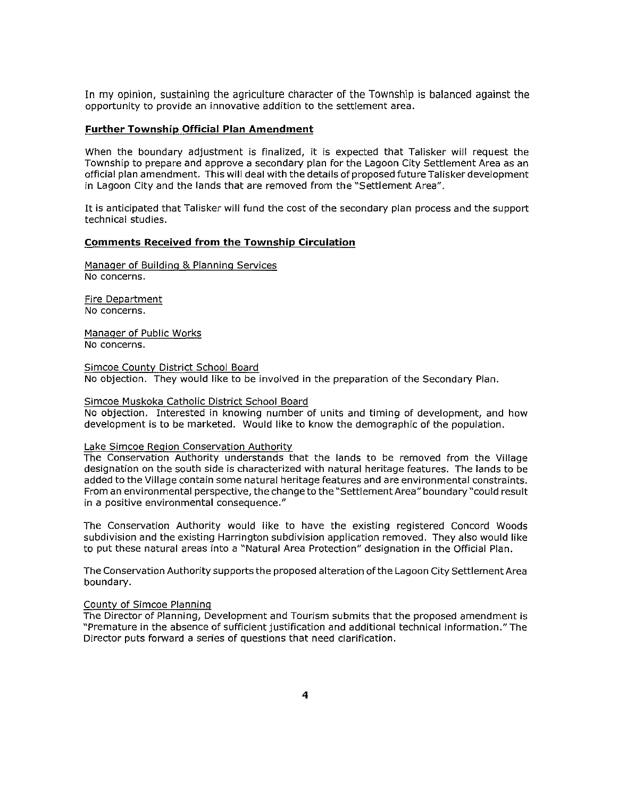In my opinion, sustaining the agriculture character of the Township is balanced against the opportunity to provide an innovative addition to the settlement area.

### **Further Township Official Plan Amendment**

When the boundary adjustment is finalized, it is expected that Talisker will request the Township to prepare and approve a secondary plan for the Lagoon City Settlement Area as an official plan amendment. This will deal with the details of proposed future Talisker development in Lagoon City and the lands that are removed from the "Settlement Area".

It is anticipated that Talisker will fund the cost of the secondary plan process and the support technical studies.

#### **Comments Received from the Township Circulation**

Manager of Building & Planning Services No concerns.

Fire Department No concerns.

Manager of Public Works No concerns.

Simcoe County District School Board No objection. They would like to be involved in the preparation of the Secondary Plan.

#### Simcoe Muskoka Catholic District School Board

No objection. Interested in knowing number of units and timing of development, and how development is to be marketed. Would like to know the demographic of the population.

#### Lake Simcoe Region Conservation Authority

The Conservation Authority understands that the lands to be removed from the Village designation on the south side is characterized with natural heritage features. The lands to be added to the Village contain some natural heritage features and are environmental constraints. From an environmental perspective, the change to the "Settlement Area" boundary "could result in a positive environmental consequence."

The Conservation Authority would like to have the existing registered Concord Woods subdivision and the existing Harrington subdivision application removed. They also would like to put these natural areas into a "Natural Area Protection" deSignation in the Official Plan.

The Conservation Authority supports the proposed alteration of the Lagoon City Settlement Area boundary.

#### County of Simcoe Planning

The Director of Planning, Development and Tourism submits that the proposed amendment is "Premature in the absence of sufficient justification and additional technical information." The Director puts forward a series of questions that need clarification.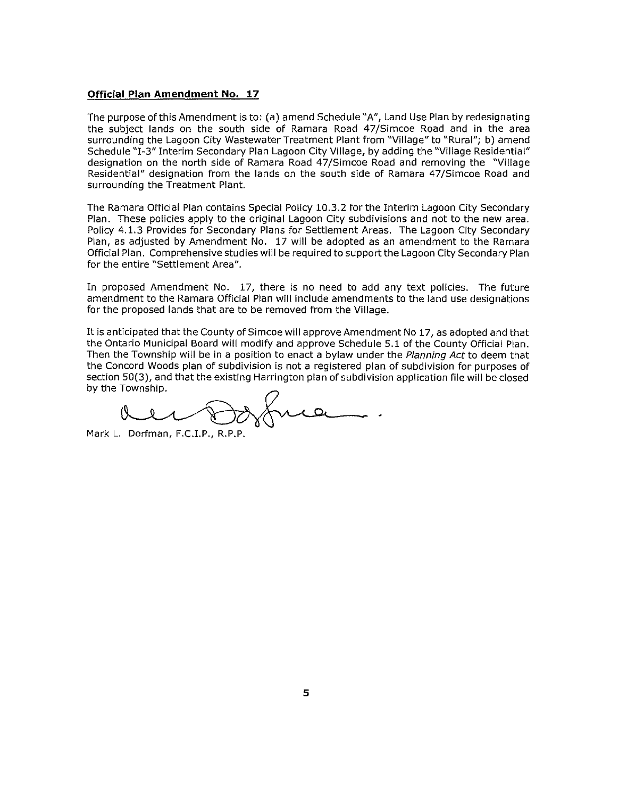#### **Official Plan Amendment No. 17**

The purpose of this Amendment is to: (a) amend Schedule "A", Land Use Plan by redesignating the subject lands on the south side of Ramara Road 47/Simcoe Road and in the area surrounding the Lagoon City Wastewater Treatment Plant from "Village" to "Rural"; b) amend Schedule "1-3" Interim Secondary Plan Lagoon City Village, by adding the "Village Residential" designation on the north side of Ramara Road 47/Simcoe Road and removing the "Village Residential" designation from the lands on the south side of Ramara 47/Simcoe Road and surrounding the Treatment Plant.

The Ramara Official Plan contains Special Policy 10.3.2 for the Interim Lagoon City Secondary Plan. These policies apply to the original Lagoon City subdivisions and not to the new area. Policy 4.1.3 Provides for Secondary Plans for Settlement Areas. The Lagoon City Secondary Plan, as adjusted by Amendment No. 17 will be adopted as an amendment to the Ramara Official Plan. Comprehensive studies will be required to support the Lagoon City Secondary Plan for the entire "Settlement Area".

In proposed Amendment No. 17, there is no need to add any text policies. The future amendment to the Ramara Official Plan will include amendments to the land use designations for the proposed lands that are to be removed from the Village.

It is anticipated that the County of Simcoe will approve Amendment No 17, as adopted and that the Ontario Municipal Board will modify and approve Schedule 5.1 of the County Official Plan. Then the Township will be in a position to enact a bylaw under the Planning Act to deem that the Concord Woods plan of subdivision is not a registered plan of subdivision for purposes of section 50(3), and that the existing Harrington plan of subdivision application file will be closed by the Township.

Mark L. Dorfman, F.C.J.P., R.P.P.